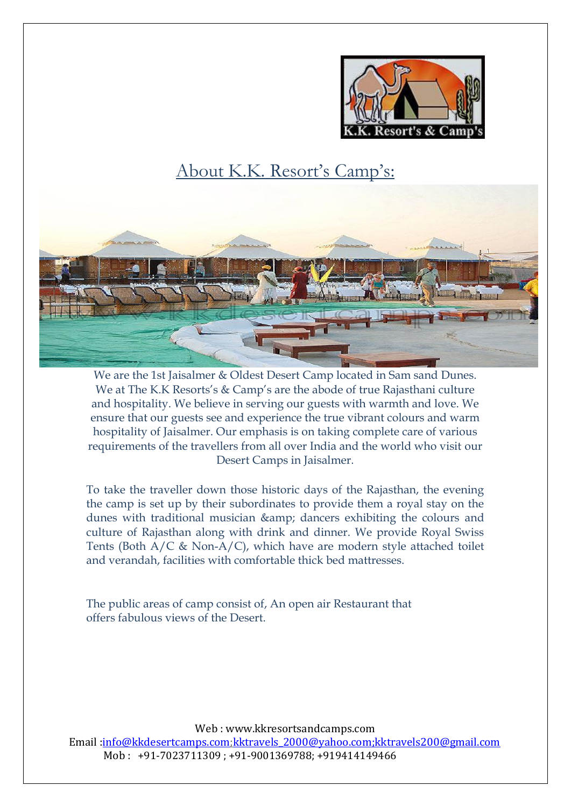

# About K.K. Resort's Camp's:



We are the 1st Jaisalmer & Oldest Desert Camp located in Sam sand Dunes. We at The K.K Resorts's & Camp's are the abode of true Rajasthani culture and hospitality. We believe in serving our guests with warmth and love. We ensure that our guests see and experience the true vibrant colours and warm hospitality of Jaisalmer. Our emphasis is on taking complete care of various requirements of the travellers from all over India and the world who visit our Desert Camps in Jaisalmer.

To take the traveller down those historic days of the Rajasthan, the evening the camp is set up by their subordinates to provide them a royal stay on the dunes with traditional musician & amp; dancers exhibiting the colours and culture of Rajasthan along with drink and dinner. We provide Royal Swiss Tents (Both A/C & Non-A/C), which have are modern style attached toilet and verandah, facilities with comfortable thick bed mattresses.

The public areas of camp consist of, An open air Restaurant that offers fabulous views of the Desert.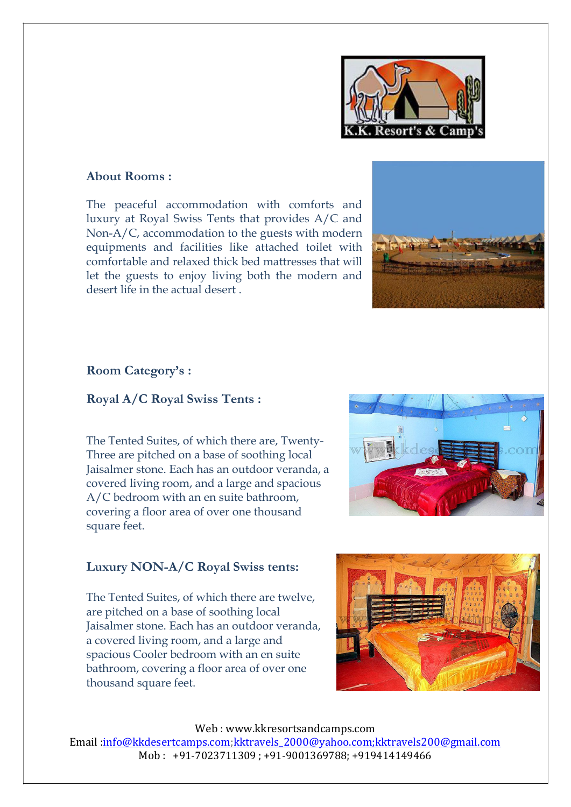

# **About Rooms :**

The peaceful accommodation with comforts and luxury at Royal Swiss Tents that provides A/C and Non-A/C, accommodation to the guests with modern equipments and facilities like attached toilet with comfortable and relaxed thick bed mattresses that will let the guests to enjoy living both the modern and desert life in the actual desert .



#### **Room Category's :**

#### **Royal A/C Royal Swiss Tents :**

The Tented Suites, of which there are, Twenty-Three are pitched on a base of soothing local Jaisalmer stone. Each has an outdoor veranda, a covered living room, and a large and spacious A/C bedroom with an en suite bathroom, covering a floor area of over one thousand square feet.



### **Luxury NON-A/C Royal Swiss tents:**

The Tented Suites, of which there are twelve, are pitched on a base of soothing local Jaisalmer stone. Each has an outdoor veranda, a covered living room, and a large and spacious Cooler bedroom with an en suite bathroom, covering a floor area of over one thousand square feet.

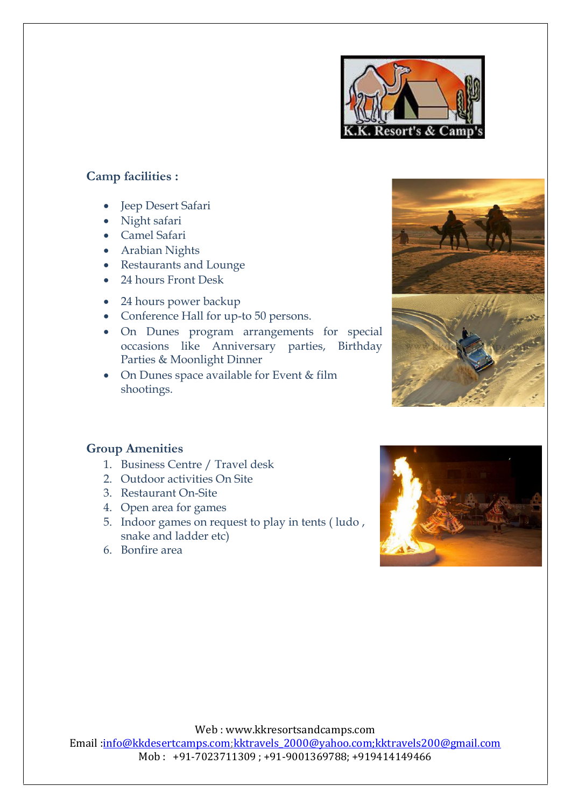

# **Camp facilities :**

- Jeep Desert Safari
- Night safari
- Camel Safari
- Arabian Nights
- Restaurants and Lounge
- 24 hours Front Desk
- 24 hours power backup
- Conference Hall for up-to 50 persons.
- On Dunes program arrangements for special occasions like Anniversary parties, Birthday Parties & Moonlight Dinner
- On Dunes space available for Event & film shootings.



# **Group Amenities**

- 1. Business Centre / Travel desk
- 2. Outdoor activities On Site
- 3. Restaurant On-Site
- 4. Open area for games
- 5. Indoor games on request to play in tents ( ludo , snake and ladder etc)
- 6. Bonfire area

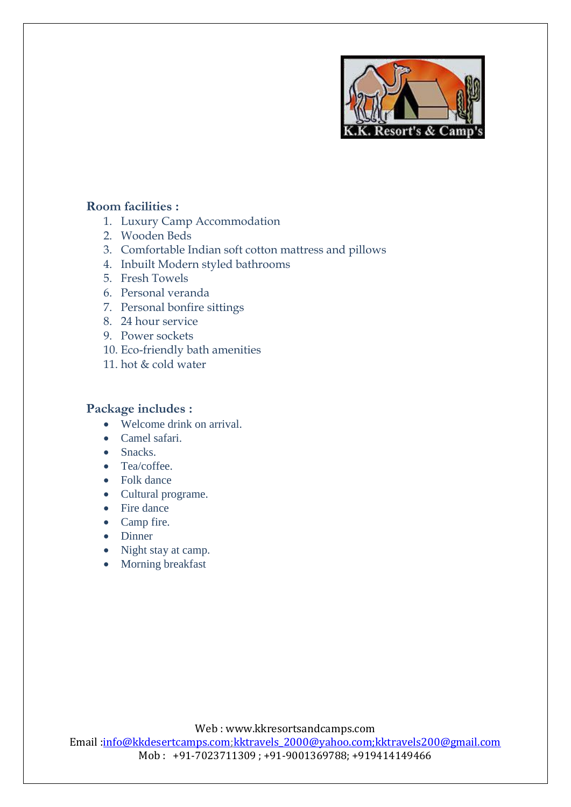

## **Room facilities :**

- 1. Luxury Camp Accommodation
- 2. Wooden Beds
- 3. Comfortable Indian soft cotton mattress and pillows
- 4. Inbuilt Modern styled bathrooms
- 5. Fresh Towels
- 6. Personal veranda
- 7. Personal bonfire sittings
- 8. 24 hour service
- 9. Power sockets
- 10. Eco-friendly bath amenities
- 11. hot & cold water

## **Package includes :**

- Welcome drink on arrival.
- Camel safari.
- Snacks.
- Tea/coffee.
- Folk dance
- Cultural programe.
- Fire dance
- Camp fire.
- Dinner
- Night stay at camp.
- Morning breakfast

Web : www.kkresortsandcamps.com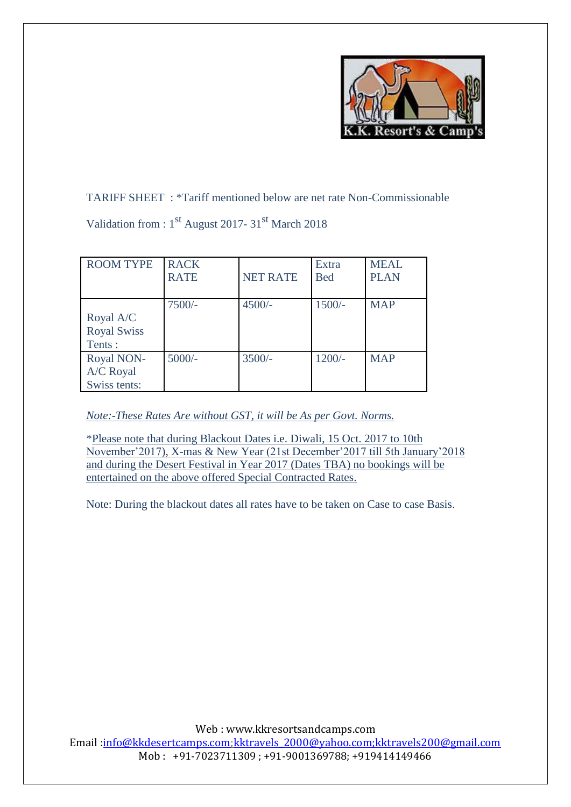

TARIFF SHEET : \*Tariff mentioned below are net rate Non-Commissionable

Validation from : 1st August 2017- 31st March 2018

| <b>ROOM TYPE</b>                          | <b>RACK</b><br><b>RATE</b> | <b>NET RATE</b> | Extra<br><b>Bed</b> | <b>MEAL</b><br><b>PLAN</b> |
|-------------------------------------------|----------------------------|-----------------|---------------------|----------------------------|
| Royal A/C<br><b>Royal Swiss</b><br>Tents: | $7500/-$                   | $4500/-$        | $1500/-$            | <b>MAP</b>                 |
| Royal NON-<br>A/C Royal<br>Swiss tents:   | $5000/-$                   | $3500/-$        | $1200/-$            | <b>MAP</b>                 |

# *Note:-These Rates Are without GST, it will be As per Govt. Norms.*

\*Please note that during Blackout Dates i.e. Diwali, 15 Oct. 2017 to 10th November'2017), X-mas & New Year (21st December'2017 till 5th January'2018 and during the Desert Festival in Year 2017 (Dates TBA) no bookings will be entertained on the above offered Special Contracted Rates.

Note: During the blackout dates all rates have to be taken on Case to case Basis.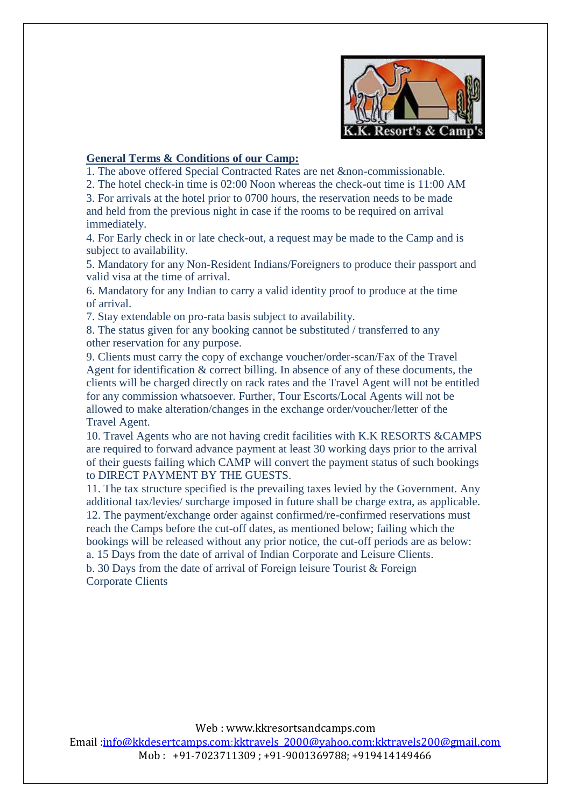

#### **General Terms & Conditions of our Camp:**

1. The above offered Special Contracted Rates are net &non-commissionable.

2. The hotel check-in time is 02:00 Noon whereas the check-out time is 11:00 AM

3. For arrivals at the hotel prior to 0700 hours, the reservation needs to be made and held from the previous night in case if the rooms to be required on arrival immediately.

4. For Early check in or late check-out, a request may be made to the Camp and is subject to availability.

5. Mandatory for any Non-Resident Indians/Foreigners to produce their passport and valid visa at the time of arrival.

6. Mandatory for any Indian to carry a valid identity proof to produce at the time of arrival.

7. Stay extendable on pro-rata basis subject to availability.

8. The status given for any booking cannot be substituted / transferred to any other reservation for any purpose.

9. Clients must carry the copy of exchange voucher/order-scan/Fax of the Travel Agent for identification & correct billing. In absence of any of these documents, the clients will be charged directly on rack rates and the Travel Agent will not be entitled for any commission whatsoever. Further, Tour Escorts/Local Agents will not be allowed to make alteration/changes in the exchange order/voucher/letter of the Travel Agent.

10. Travel Agents who are not having credit facilities with K.K RESORTS &CAMPS are required to forward advance payment at least 30 working days prior to the arrival of their guests failing which CAMP will convert the payment status of such bookings to DIRECT PAYMENT BY THE GUESTS.

11. The tax structure specified is the prevailing taxes levied by the Government. Any additional tax/levies/ surcharge imposed in future shall be charge extra, as applicable. 12. The payment/exchange order against confirmed/re-confirmed reservations must reach the Camps before the cut-off dates, as mentioned below; failing which the bookings will be released without any prior notice, the cut-off periods are as below: a. 15 Days from the date of arrival of Indian Corporate and Leisure Clients. b. 30 Days from the date of arrival of Foreign leisure Tourist & Foreign

Corporate Clients

Web : www.kkresortsandcamps.com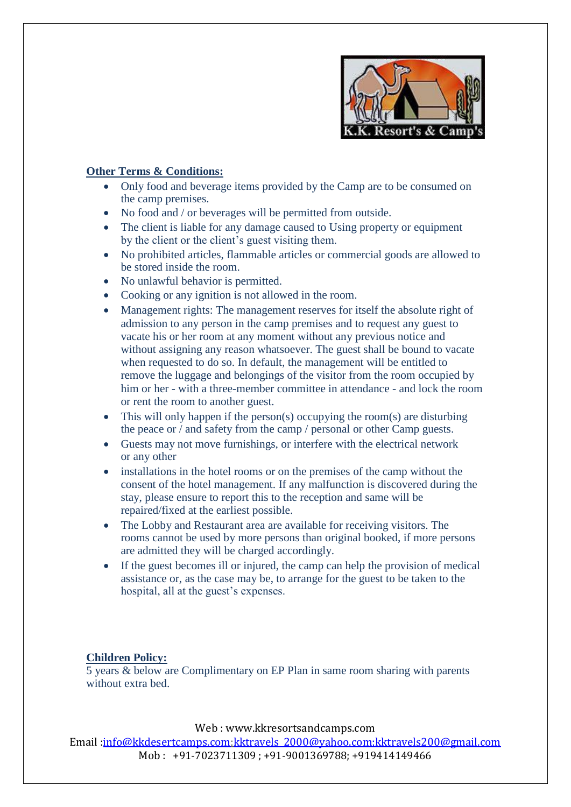

### **Other Terms & Conditions:**

- Only food and beverage items provided by the Camp are to be consumed on the camp premises.
- No food and / or beverages will be permitted from outside.
- The client is liable for any damage caused to Using property or equipment by the client or the client's guest visiting them.
- No prohibited articles, flammable articles or commercial goods are allowed to be stored inside the room.
- No unlawful behavior is permitted.
- Cooking or any ignition is not allowed in the room.
- Management rights: The management reserves for itself the absolute right of admission to any person in the camp premises and to request any guest to vacate his or her room at any moment without any previous notice and without assigning any reason whatsoever. The guest shall be bound to vacate when requested to do so. In default, the management will be entitled to remove the luggage and belongings of the visitor from the room occupied by him or her - with a three-member committee in attendance - and lock the room or rent the room to another guest.
- This will only happen if the person(s) occupying the room(s) are disturbing the peace or / and safety from the camp / personal or other Camp guests.
- Guests may not move furnishings, or interfere with the electrical network or any other
- installations in the hotel rooms or on the premises of the camp without the consent of the hotel management. If any malfunction is discovered during the stay, please ensure to report this to the reception and same will be repaired/fixed at the earliest possible.
- The Lobby and Restaurant area are available for receiving visitors. The rooms cannot be used by more persons than original booked, if more persons are admitted they will be charged accordingly.
- If the guest becomes ill or injured, the camp can help the provision of medical assistance or, as the case may be, to arrange for the guest to be taken to the hospital, all at the guest's expenses.

#### **Children Policy:**

5 years & below are Complimentary on EP Plan in same room sharing with parents without extra bed.

Web : www.kkresortsandcamps.com